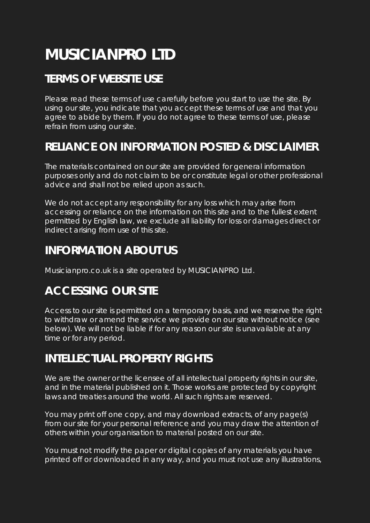# **MUSICIANPRO LTD**

## **TERMS OF WEBSITE USE**

Please read these terms of use carefully before you start to use the site. By using our site, you indicate that you accept these terms of use and that you agree to abide by them. If you do not agree to these terms of use, please refrain from using our site.

## **RELIANCE ON INFORMATION POSTED & DISCLAIMER**

The materials contained on our site are provided for general information purposes only and do not claim to be or constitute legal or other professional advice and shall not be relied upon as such.

We do not accept any responsibility for any loss which may arise from accessing or reliance on the information on this site and to the fullest extent permitted by English law, we exclude all liability for loss or damages direct or indirect arising from use of this site.

#### **INFORMATION ABOUT US**

Musicianpro.co.uk is a site operated by MUSICIANPRO Ltd.

## **ACCESSING OUR SITE**

Access to our site is permitted on a temporary basis, and we reserve the right to withdraw or amend the service we provide on our site without notice (see below). We will not be liable if for any reason our site is unavailable at any time or for any period.

## **INTELLECTUAL PROPERTY RIGHTS**

We are the owner or the licensee of all intellectual property rights in our site, and in the material published on it. Those works are protected by copyright laws and treaties around the world. All such rights are reserved.

You may print off one copy, and may download extracts, of any page(s) from our site for your personal reference and you may draw the attention of others within your organisation to material posted on our site.

You must not modify the paper or digital copies of any materials you have printed off or downloaded in any way, and you must not use any illustrations,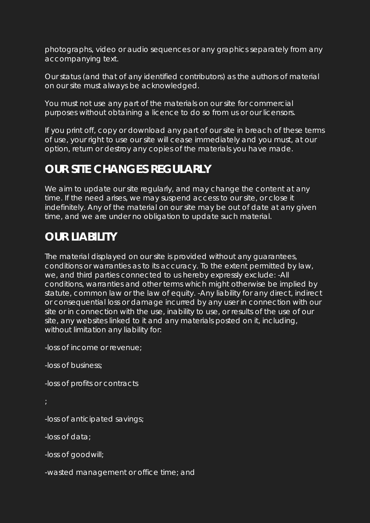photographs, video or audio sequences or any graphics separately from any accompanying text.

Our status (and that of any identified contributors) as the authors of material on our site must always be acknowledged.

You must not use any part of the materials on our site for commercial purposes without obtaining a licence to do so from us or our licensors.

If you print off, copy or download any part of our site in breach of these terms of use, your right to use our site will cease immediately and you must, at our option, return or destroy any copies of the materials you have made.

## **OUR SITE CHANGES REGULARLY**

We aim to update our site regularly, and may change the content at any time. If the need arises, we may suspend access to our site, or close it indefinitely. Any of the material on our site may be out of date at any given time, and we are under no obligation to update such material.

## **OUR LIABILITY**

The material displayed on our site is provided without any guarantees, conditions or warranties as to its accuracy. To the extent permitted by law, we, and third parties connected to us hereby expressly exclude: -All conditions, warranties and other terms which might otherwise be implied by statute, common law or the law of equity. -Any liability for any direct, indirect or consequential loss or damage incurred by any user in connection with our site or in connection with the use, inability to use, or results of the use of our site, any websites linked to it and any materials posted on it, including, without limitation any liability for:

-loss of income or revenue;

-loss of business;

-loss of profits or contracts

-loss of anticipated savings;

-loss of data;

-loss of goodwill;

-wasted management or office time; and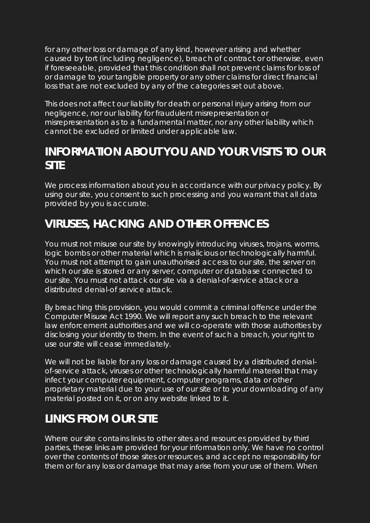for any other loss or damage of any kind, however arising and whether caused by tort (including negligence), breach of contract or otherwise, even if foreseeable, provided that this condition shall not prevent claims for loss of or damage to your tangible property or any other claims for direct financial loss that are not excluded by any of the categories set out above.

This does not affect our liability for death or personal injury arising from our negligence, nor our liability for fraudulent misrepresentation or misrepresentation as to a fundamental matter, nor any other liability which cannot be excluded or limited under applicable law.

#### **INFORMATION ABOUT YOU AND YOUR VISITS TO OUR SITE**

We process information about you in accordance with our privacy policy. By using our site, you consent to such processing and you warrant that all data provided by you is accurate.

## **VIRUSES, HACKING AND OTHER OFFENCES**

You must not misuse our site by knowingly introducing viruses, trojans, worms, logic bombs or other material which is malicious or technologically harmful. You must not attempt to gain unauthorised access to our site, the server on which our site is stored or any server, computer or database connected to our site. You must not attack our site via a denial-of-service attack or a distributed denial-of service attack.

By breaching this provision, you would commit a criminal offence under the Computer Misuse Act 1990. We will report any such breach to the relevant law enforcement authorities and we will co-operate with those authorities by disclosing your identity to them. In the event of such a breach, your right to use our site will cease immediately.

We will not be liable for any loss or damage caused by a distributed denialof-service attack, viruses or other technologically harmful material that may infect your computer equipment, computer programs, data or other proprietary material due to your use of our site or to your downloading of any material posted on it, or on any website linked to it.

## **LINKS FROM OUR SITE**

Where our site contains links to other sites and resources provided by third parties, these links are provided for your information only. We have no control over the contents of those sites or resources, and accept no responsibility for them or for any loss or damage that may arise from your use of them. When